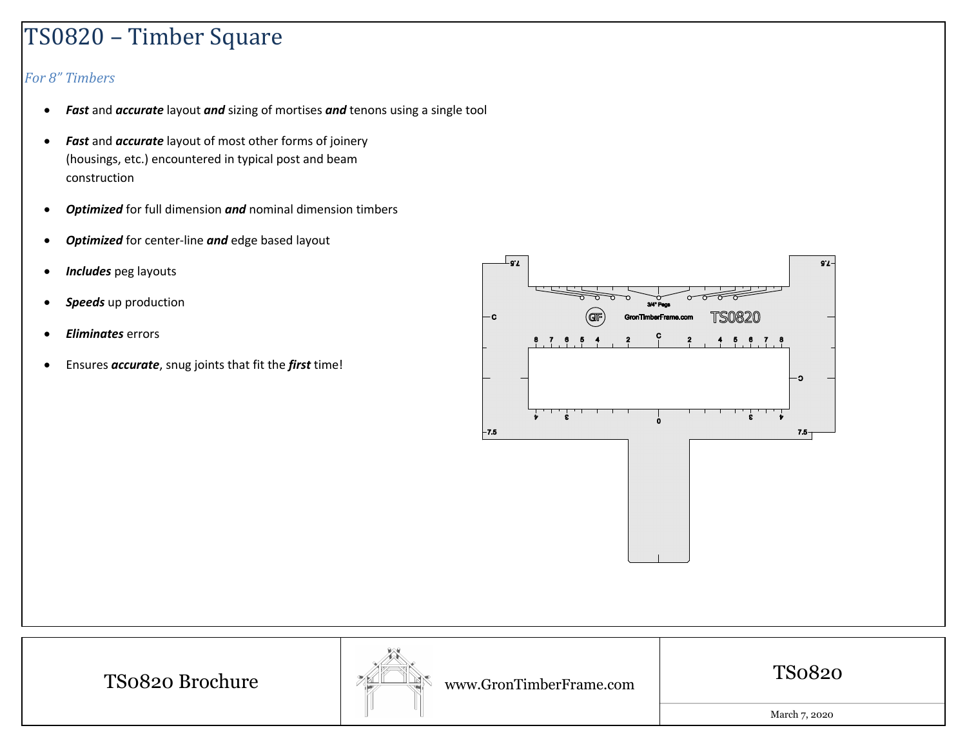## TS0820 – Timber Square

## *For 8" Timbers*

- $\bullet$ *Fast* and *accurate* layout *and* sizing of mortises *and* tenons using <sup>a</sup> single tool
- $\bullet$  *Fast* and *accurate* layout of most other forms of joinery (housings, etc.) encountered in typical post and beam construction
- $\bullet$ **Optimized** for full dimension and nominal dimension timbers
- $\bullet$ *Optimized* for center-line *and* edge based layout
- $\bullet$ *Includes* peg layouts
- $\bullet$ *Speeds* up production
- $\bullet$ *Eliminates* errors
- $\bullet$ Ensures *accurate*, snug joints that fit the *first* time!



TS0820 Brochure



www.GronTimberFrame.com

TS0820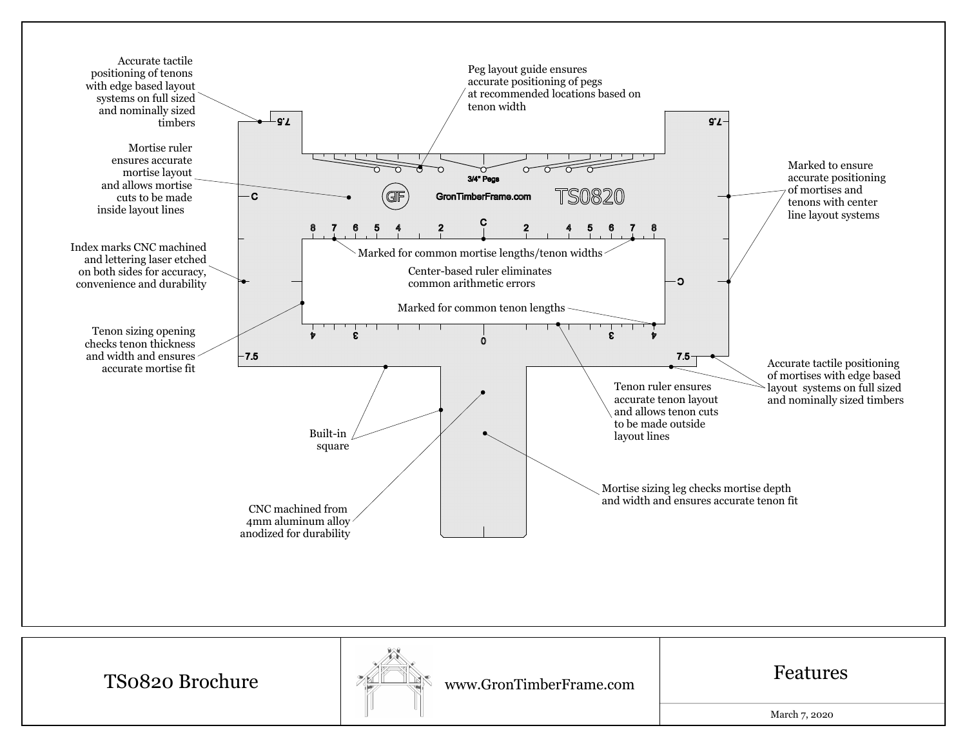